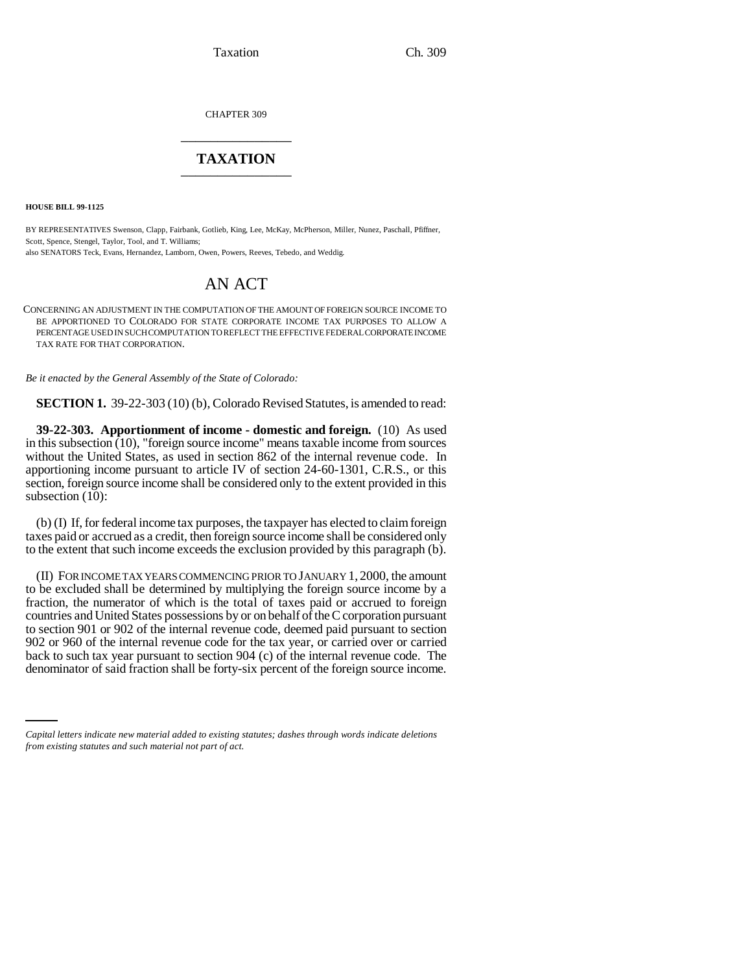Taxation Ch. 309

CHAPTER 309 \_\_\_\_\_\_\_\_\_\_\_\_\_\_\_

## **TAXATION** \_\_\_\_\_\_\_\_\_\_\_\_\_\_\_

**HOUSE BILL 99-1125** 

BY REPRESENTATIVES Swenson, Clapp, Fairbank, Gotlieb, King, Lee, McKay, McPherson, Miller, Nunez, Paschall, Pfiffner, Scott, Spence, Stengel, Taylor, Tool, and T. Williams;

also SENATORS Teck, Evans, Hernandez, Lamborn, Owen, Powers, Reeves, Tebedo, and Weddig.

## AN ACT

CONCERNING AN ADJUSTMENT IN THE COMPUTATION OF THE AMOUNT OF FOREIGN SOURCE INCOME TO BE APPORTIONED TO COLORADO FOR STATE CORPORATE INCOME TAX PURPOSES TO ALLOW A PERCENTAGE USED IN SUCH COMPUTATION TO REFLECT THE EFFECTIVE FEDERAL CORPORATE INCOME TAX RATE FOR THAT CORPORATION.

*Be it enacted by the General Assembly of the State of Colorado:*

**SECTION 1.** 39-22-303 (10) (b), Colorado Revised Statutes, is amended to read:

**39-22-303. Apportionment of income - domestic and foreign.** (10) As used in this subsection (10), "foreign source income" means taxable income from sources without the United States, as used in section 862 of the internal revenue code. In apportioning income pursuant to article IV of section 24-60-1301, C.R.S., or this section, foreign source income shall be considered only to the extent provided in this subsection (10):

(b) (I) If, for federal income tax purposes, the taxpayer has elected to claim foreign taxes paid or accrued as a credit, then foreign source income shall be considered only to the extent that such income exceeds the exclusion provided by this paragraph (b).

back to such tax year pursuant to section 904 (c) of the internal revenue code. The (II) FOR INCOME TAX YEARS COMMENCING PRIOR TO JANUARY 1, 2000, the amount to be excluded shall be determined by multiplying the foreign source income by a fraction, the numerator of which is the total of taxes paid or accrued to foreign countries and United States possessions by or on behalf of the C corporation pursuant to section 901 or 902 of the internal revenue code, deemed paid pursuant to section 902 or 960 of the internal revenue code for the tax year, or carried over or carried denominator of said fraction shall be forty-six percent of the foreign source income.

*Capital letters indicate new material added to existing statutes; dashes through words indicate deletions from existing statutes and such material not part of act.*